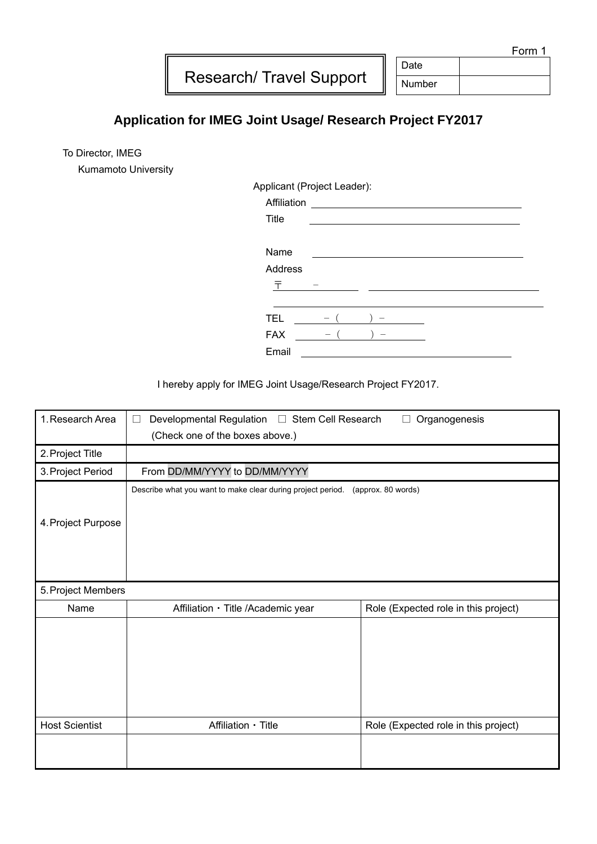Form 1

Research/ Travel Support

Date Number

## **Application for IMEG Joint Usage/ Research Project FY2017**

To Director, IMEG

Kumamoto University

Applicant (Project Leader):

| Affiliation<br><u> 1989 - Andrea Andrew Maria (b. 1989)</u> |  |  |  |  |  |
|-------------------------------------------------------------|--|--|--|--|--|
| Title                                                       |  |  |  |  |  |
|                                                             |  |  |  |  |  |
| Name                                                        |  |  |  |  |  |
| Address                                                     |  |  |  |  |  |
| 〒                                                           |  |  |  |  |  |
|                                                             |  |  |  |  |  |
| <b>TEL</b>                                                  |  |  |  |  |  |
| <b>FAX</b>                                                  |  |  |  |  |  |
| Email                                                       |  |  |  |  |  |

I hereby apply for IMEG Joint Usage/Research Project FY2017.

| 1. Research Area      | Developmental Regulation □ Stem Cell Research<br>Organogenesis<br>$\mathbf{L}$<br>(Check one of the boxes above.) |                                      |  |
|-----------------------|-------------------------------------------------------------------------------------------------------------------|--------------------------------------|--|
| 2. Project Title      |                                                                                                                   |                                      |  |
| 3. Project Period     | From DD/MM/YYYY to DD/MM/YYYY                                                                                     |                                      |  |
| 4. Project Purpose    | Describe what you want to make clear during project period. (approx. 80 words)                                    |                                      |  |
| 5. Project Members    |                                                                                                                   |                                      |  |
| Name                  | Affiliation · Title /Academic year                                                                                | Role (Expected role in this project) |  |
|                       |                                                                                                                   |                                      |  |
| <b>Host Scientist</b> | Affiliation · Title                                                                                               | Role (Expected role in this project) |  |
|                       |                                                                                                                   |                                      |  |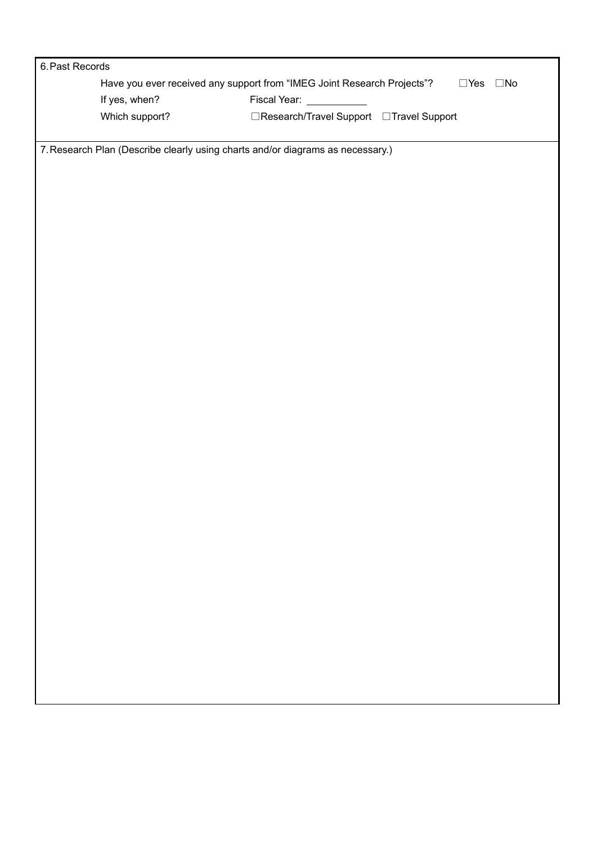| 6. Past Records |                                                                                |                                          |                               |
|-----------------|--------------------------------------------------------------------------------|------------------------------------------|-------------------------------|
|                 | Have you ever received any support from "IMEG Joint Research Projects"?        |                                          | $\square$ Yes<br>$\square$ No |
|                 | If yes, when?                                                                  | Fiscal Year:                             |                               |
|                 | Which support?                                                                 | □Research/Travel Support □Travel Support |                               |
|                 |                                                                                |                                          |                               |
|                 | 7. Research Plan (Describe clearly using charts and/or diagrams as necessary.) |                                          |                               |
|                 |                                                                                |                                          |                               |
|                 |                                                                                |                                          |                               |
|                 |                                                                                |                                          |                               |
|                 |                                                                                |                                          |                               |
|                 |                                                                                |                                          |                               |
|                 |                                                                                |                                          |                               |
|                 |                                                                                |                                          |                               |
|                 |                                                                                |                                          |                               |
|                 |                                                                                |                                          |                               |
|                 |                                                                                |                                          |                               |
|                 |                                                                                |                                          |                               |
|                 |                                                                                |                                          |                               |
|                 |                                                                                |                                          |                               |
|                 |                                                                                |                                          |                               |
|                 |                                                                                |                                          |                               |
|                 |                                                                                |                                          |                               |
|                 |                                                                                |                                          |                               |
|                 |                                                                                |                                          |                               |
|                 |                                                                                |                                          |                               |
|                 |                                                                                |                                          |                               |
|                 |                                                                                |                                          |                               |
|                 |                                                                                |                                          |                               |
|                 |                                                                                |                                          |                               |
|                 |                                                                                |                                          |                               |
|                 |                                                                                |                                          |                               |
|                 |                                                                                |                                          |                               |
|                 |                                                                                |                                          |                               |
|                 |                                                                                |                                          |                               |
|                 |                                                                                |                                          |                               |
|                 |                                                                                |                                          |                               |
|                 |                                                                                |                                          |                               |
|                 |                                                                                |                                          |                               |
|                 |                                                                                |                                          |                               |
|                 |                                                                                |                                          |                               |
|                 |                                                                                |                                          |                               |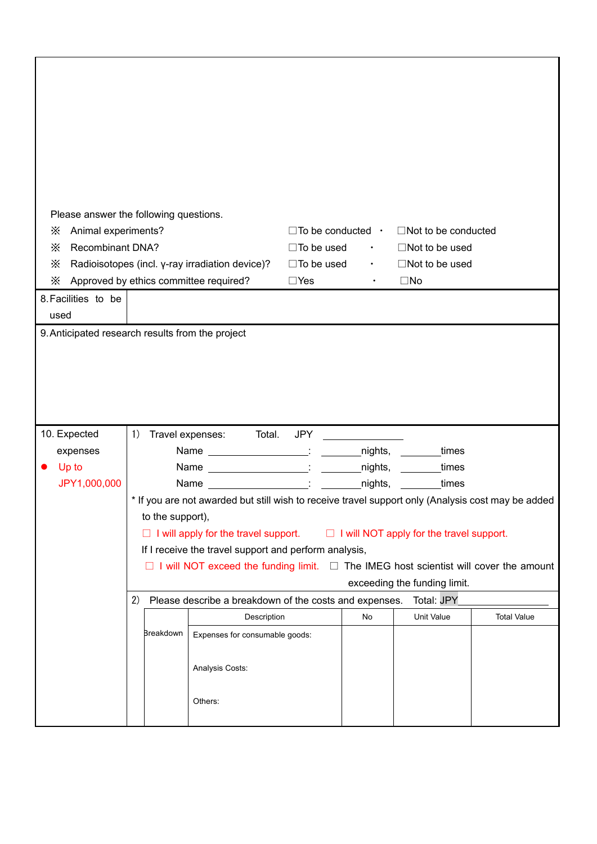| Please answer the following questions.                                          |                                                                                                  |                                                                                                    |                                  |                       |                            |                    |
|---------------------------------------------------------------------------------|--------------------------------------------------------------------------------------------------|----------------------------------------------------------------------------------------------------|----------------------------------|-----------------------|----------------------------|--------------------|
|                                                                                 | Animal experiments?<br>X                                                                         |                                                                                                    | $\Box$ To be conducted $\cdot$   |                       | $\Box$ Not to be conducted |                    |
| <b>Recombinant DNA?</b><br>X<br>Radioisotopes (incl. y-ray irradiation device)? |                                                                                                  | $\Box$ To be used                                                                                  | $\bullet$ . The set of $\bullet$ | $\Box$ Not to be used |                            |                    |
| Х                                                                               |                                                                                                  |                                                                                                    | $\square$ To be used             | $\bullet$             | $\Box$ Not to be used      |                    |
| Х                                                                               |                                                                                                  | Approved by ethics committee required?                                                             | $\Box$ Yes                       | $\bullet$             | $\square$ No               |                    |
| 8. Facilities to be                                                             |                                                                                                  |                                                                                                    |                                  |                       |                            |                    |
| used                                                                            |                                                                                                  |                                                                                                    |                                  |                       |                            |                    |
| 9. Anticipated research results from the project                                |                                                                                                  |                                                                                                    |                                  |                       |                            |                    |
|                                                                                 |                                                                                                  |                                                                                                    |                                  |                       |                            |                    |
|                                                                                 |                                                                                                  |                                                                                                    |                                  |                       |                            |                    |
|                                                                                 |                                                                                                  |                                                                                                    |                                  |                       |                            |                    |
|                                                                                 |                                                                                                  |                                                                                                    |                                  |                       |                            |                    |
| 10. Expected                                                                    | 1)                                                                                               | Travel expenses: Total.                                                                            | JPY                              |                       |                            |                    |
| expenses                                                                        |                                                                                                  | Name _________________________: _________nights, _______times                                      |                                  |                       |                            |                    |
| Up to                                                                           |                                                                                                  |                                                                                                    |                                  |                       |                            |                    |
| JPY1,000,000                                                                    | Name nights,                                                                                     |                                                                                                    |                                  |                       | <b>Example 1</b> imes      |                    |
|                                                                                 |                                                                                                  | * If you are not awarded but still wish to receive travel support only (Analysis cost may be added |                                  |                       |                            |                    |
|                                                                                 | to the support),                                                                                 |                                                                                                    |                                  |                       |                            |                    |
|                                                                                 |                                                                                                  | $\Box$ I will apply for the travel support. $\Box$ I will NOT apply for the travel support.        |                                  |                       |                            |                    |
|                                                                                 | If I receive the travel support and perform analysis,                                            |                                                                                                    |                                  |                       |                            |                    |
|                                                                                 | $\Box$ I will NOT exceed the funding limit. $\Box$ The IMEG host scientist will cover the amount |                                                                                                    |                                  |                       |                            |                    |
|                                                                                 | exceeding the funding limit.                                                                     |                                                                                                    |                                  |                       |                            |                    |
|                                                                                 | Total: JPY<br>2)<br>Please describe a breakdown of the costs and expenses.                       |                                                                                                    |                                  |                       |                            |                    |
|                                                                                 |                                                                                                  | Description                                                                                        |                                  | No                    | Unit Value                 | <b>Total Value</b> |
|                                                                                 | <b>Breakdown</b>                                                                                 | Expenses for consumable goods:                                                                     |                                  |                       |                            |                    |
|                                                                                 |                                                                                                  |                                                                                                    |                                  |                       |                            |                    |
|                                                                                 |                                                                                                  | Analysis Costs:                                                                                    |                                  |                       |                            |                    |
|                                                                                 |                                                                                                  |                                                                                                    |                                  |                       |                            |                    |
|                                                                                 |                                                                                                  | Others:                                                                                            |                                  |                       |                            |                    |
|                                                                                 |                                                                                                  |                                                                                                    |                                  |                       |                            |                    |